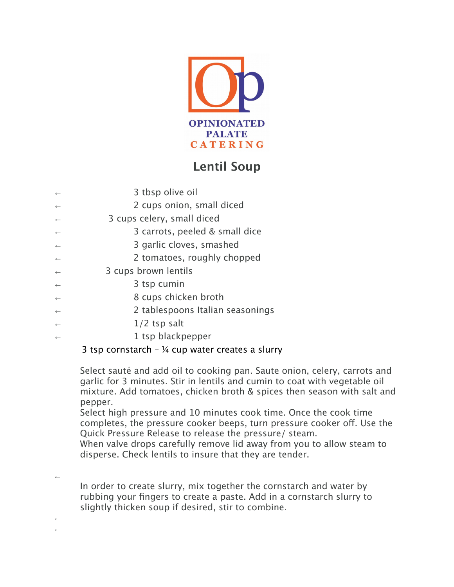

## **Lentil Soup**

| 3 tbsp olive oil                 |
|----------------------------------|
| 2 cups onion, small diced        |
| 3 cups celery, small diced       |
| 3 carrots, peeled & small dice   |
| 3 garlic cloves, smashed         |
| 2 tomatoes, roughly chopped      |
| 3 cups brown lentils             |
| 3 tsp cumin                      |
| 8 cups chicken broth             |
| 2 tablespoons Italian seasonings |
| $1/2$ tsp salt                   |
| 1 tsp blackpepper                |

## 3 tsp cornstarch –  $\frac{1}{4}$  cup water creates a slurry

Select sauté and add oil to cooking pan. Saute onion, celery, carrots and garlic for 3 minutes. Stir in lentils and cumin to coat with vegetable oil mixture. Add tomatoes, chicken broth & spices then season with salt and pepper.

Select high pressure and 10 minutes cook time. Once the cook time completes, the pressure cooker beeps, turn pressure cooker off. Use the Quick Pressure Release to release the pressure/ steam.

When valve drops carefully remove lid away from you to allow steam to disperse. Check lentils to insure that they are tender.

←

In order to create slurry, mix together the cornstarch and water by rubbing your fingers to create a paste. Add in a cornstarch slurry to slightly thicken soup if desired, stir to combine.

← ←